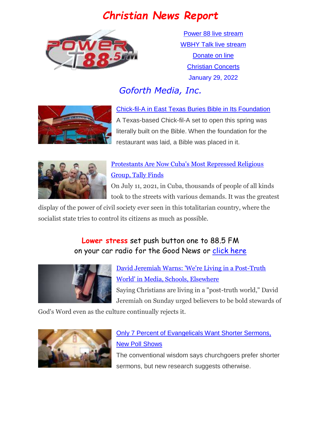# *Christian News Report*



[Power 88 live stream](https://us7.maindigitalstream.com/2920/index.php) [WBHY Talk live stream](http://148.72.155.47:8573/Ahxed5k) [Donate on line](https://forms.ministryforms.net/viewForm.aspx?formId=018b4ff7-2c2f-4f0e-8ef2-689f9601b826) **[Christian Concerts](https://www.goforth.org/Concerts)** January 29, 2022

# *Goforth Media, Inc.*



[Chick-fil-A in East Texas Buries Bible in Its Foundation](https://www.christianheadlines.com/contributors/milton-quintanilla/chick-fil-a-in-east-texas-buries-bible-in-its-foundation.html) A Texas-based Chick-fil-A set to open this spring was literally built on the Bible. When the foundation for the restaurant was laid, a Bible was placed in it.



## [Protestants Are Now Cuba's Most Repressed Religious](https://religionunplugged.com/news/2022/1/19/the-rebellious-evangelicals-of-cuba)  [Group, Tally Finds](https://religionunplugged.com/news/2022/1/19/the-rebellious-evangelicals-of-cuba)

On July 11, 2021, in Cuba, thousands of people of all kinds took to the streets with various demands. It was the greatest

display of the power of civil society ever seen in this totalitarian country, where the socialist state tries to control its citizens as much as possible.

## **Lower stress** set push button one to 88.5 FM on your car radio for the Good News or [click here](https://us7.maindigitalstream.com/2920/)



[David Jeremiah Warns: 'We're Living in a Post-Truth](https://www.christianheadlines.com/contributors/michael-foust/david-jeremiah-warns-were-living-in-a-post-truth-world-in-media-schools-elsewhere.html)  [World' in Media, Schools, Elsewhere](https://www.christianheadlines.com/contributors/michael-foust/david-jeremiah-warns-were-living-in-a-post-truth-world-in-media-schools-elsewhere.html)  Saying Christians are living in a "post-truth world," David Jeremiah on Sunday urged believers to be bold stewards of

God's Word even as the culture continually rejects it.



# [Only 7 Percent of Evangelicals Want Shorter Sermons,](https://www.christianheadlines.com/contributors/michael-foust/only-7-percent-of-evangelicals-want-shorter-sermons-new-poll-shows.html)  [New Poll Shows](https://www.christianheadlines.com/contributors/michael-foust/only-7-percent-of-evangelicals-want-shorter-sermons-new-poll-shows.html)

The conventional wisdom says churchgoers prefer shorter sermons, but new research suggests otherwise.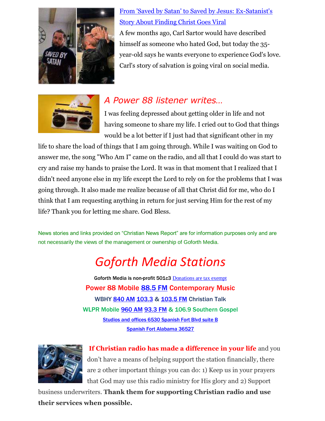

[From 'Saved by Satan' to Saved by Jesus: Ex-Satanist's](https://www1.cbn.com/cbnnews/us/2022/january/from-saved-by-satan-to-saved-by-jesus-ex-satanists-story-about-finding-christ-goes-viral)  [Story About Finding Christ Goes Viral](https://www1.cbn.com/cbnnews/us/2022/january/from-saved-by-satan-to-saved-by-jesus-ex-satanists-story-about-finding-christ-goes-viral) A few months ago, Carl Sartor would have described himself as someone who hated God, but today the 35year-old says he wants everyone to experience God's love.

Carl's story of salvation is going viral on social media.



## *A Power 88 listener writes…*

I was feeling depressed about getting older in life and not having someone to share my life. I cried out to God that things would be a lot better if I just had that significant other in my

life to share the load of things that I am going through. While I was waiting on God to answer me, the song "Who Am I" came on the radio, and all that I could do was start to cry and raise my hands to praise the Lord. It was in that moment that I realized that I didn't need anyone else in my life except the Lord to rely on for the problems that I was going through. It also made me realize because of all that Christ did for me, who do I think that I am requesting anything in return for just serving Him for the rest of my life? Thank you for letting me share. God Bless.

News stories and links provided on "Christian News Report" are for information purposes only and are not necessarily the views of the management or ownership of Goforth Media.

# *Goforth Media Stations*

Goforth Media is non-profit 501c3 [Donations are tax exempt](https://forms.ministryforms.net/viewForm.aspx?formId=018b4ff7-2c2f-4f0e-8ef2-689f9601b826) Power 88 Mobile **88.5 FM** Contemporary Music WBHY [840 AM](https://radio-locator.com/cgi-bin/pat?call=WBHY&service=AM&h=D) [103.3](https://radio-locator.com/cgi-bin/pat?call=W277CS&service=FX) & [103.5 FM](https://radio-locator.com/cgi-bin/pat?call=W278AP&service=FX) Christian Talk WLPR Mobile [960 AM](https://radio-locator.com/cgi-bin/pat?call=WLPR&service=AM&h=D) [93.3 FM](https://radio-locator.com/cgi-bin/pat?call=W227DA&service=FX) & 106.9 Southern Gospel [Studios and offices 6530 Spanish Fort Blvd suite B](https://www.google.com/maps/place/Power+88+Radio/@30.667541,-87.9124627,17z/data=!3m1!4b1!4m5!3m4!1s0x889a43144093f9bd:0x8d064181e7261e9!8m2!3d30.667541!4d-87.910274) [Spanish Fort Alabama 36527](https://www.google.com/maps/place/Power+88+Radio/@30.667541,-87.9124627,17z/data=!3m1!4b1!4m5!3m4!1s0x889a43144093f9bd:0x8d064181e7261e9!8m2!3d30.667541!4d-87.910274)



**If Christian radio has made a difference in your life** and you don't have a means of helping support the station financially, there are 2 other important things you can do: 1) Keep us in your prayers that God may use this radio ministry for His glory and 2) Support

business underwriters. **Thank them for supporting Christian radio and use their services when possible.**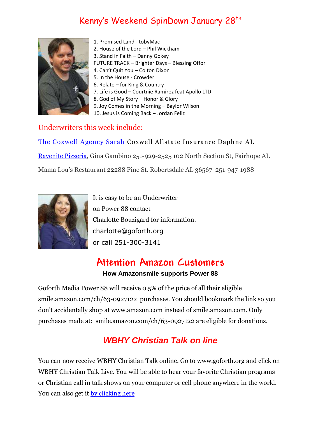# Kenny's Weekend SpinDown January 28<sup>th</sup>



- 1. Promised Land tobyMac
- 2. House of the Lord Phil Wickham
- 3. Stand in Faith Danny Gokey
- FUTURE TRACK Brighter Days Blessing Offor
- 4. Can't Quit You Colton Dixon
- 5. In the House Crowder
- 6. Relate for King & Country
- 7. Life is Good Courtnie Ramirez feat Apollo LTD
- 8. God of My Story Honor & Glory
- 9. Joy Comes in the Morning Baylor Wilson

10. Jesus is Coming Back – Jordan Feliz

#### Underwriters this week include:

[The Coxwell Agency Sarah](https://agents.allstate.com/the-coxwell-agency-daphne-al.html) Coxwell Allstate Insurance Daphne AL [Ravenite Pizzeria,](http://www.theravenite.net/) Gina Gambino 251-929-2525 102 North Section St, Fairhope AL Mama Lou's Restaurant 22288 Pine St. Robertsdale AL 36567 251-947-1988



It is easy to be an Underwriter on Power 88 contact Charlotte Bouzigard for information. [charlotte@goforth.org](mailto:charlotte@goforth.org) or call 251-300-3141

# **Attention Amazon Customers**

#### **How Amazonsmile supports Power 88**

Goforth Media Power 88 will receive 0.5% of the price of all their eligible [smile.amazon.com/ch/63-0927122](https://www.amazon.com/gp/r.html?C=2AU9G2CMQ9IQM&R=1QK2JMJNP3GH7&T=C&U=http%3A%2F%2Fsmile.amazon.com%2Fch%2F63-0927122&A=BCZPEIHVLV99IVSUOLG1YPFXTGWA&H=XVLELAMUAST3PRIK4CW2E8JRKTCA) purchases. You should bookmark the link so you don't accidentally shop at www.amazon.com instead of smile.amazon.com. Only purchases made at: [smile.amazon.com/ch/63-0927122](https://www.amazon.com/gp/r.html?C=2AU9G2CMQ9IQM&R=1QK2JMJNP3GH7&T=C&U=http%3A%2F%2Fsmile.amazon.com%2Fch%2F63-0927122&A=BCZPEIHVLV99IVSUOLG1YPFXTGWA&H=XVLELAMUAST3PRIK4CW2E8JRKTCA) are eligible for donations.

## *WBHY Christian Talk on line*

You can now receive WBHY Christian Talk online. Go to [www.goforth.org](http://www.goforth.org/) and click on WBHY Christian Talk Live. You will be able to hear your favorite Christian programs or Christian call in talk shows on your computer or cell phone anywhere in the world. You can also get it <u>by clicking here</u>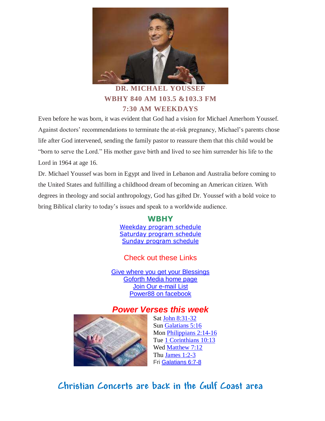

#### **DR. MICHAEL YOUSSEF WBHY 840 AM 103.5 &103.3 FM 7:30 AM WEEKDAYS**

Even before he was born, it was evident that God had a vision for Michael Amerhom Youssef. Against doctors' recommendations to terminate the at-risk pregnancy, Michael's parents chose life after God intervened, sending the family pastor to reassure them that this child would be "born to serve the Lord." His mother gave birth and lived to see him surrender his life to the Lord in 1964 at age 16.

Dr. Michael Youssef was born in Egypt and lived in Lebanon and Australia before coming to the United States and fulfilling a childhood dream of becoming an American citizen. With degrees in theology and social anthropology, God has gifted Dr. Youssef with a bold voice to bring Biblical clarity to today's issues and speak to a worldwide audience.

#### **WBHY**

[Weekday program schedule](https://goforth.schoolinsites.com/dailyprogramschedule) [Saturday program schedule](https://goforth.schoolinsites.com/saturdayprogramschedule) [Sunday program schedule](https://goforth.schoolinsites.com/sundayprogramschedule)

#### Check out these Links

Give where you [get your Blessings](https://forms.ministryforms.net/viewForm.aspx?formId=018b4ff7-2c2f-4f0e-8ef2-689f9601b826) [Goforth Media home page](http://www.goforth.org/) [Join Our e-mail List](http://user.goforth.org/mail-form/mail_form.htm) [Power88 on facebook](http://www.facebook.com/Power88fm)

## *Power Verses this week*



Sat [John 8:31-32](https://www.biblegateway.com/passage/?search=John%208:31-32&version=niv) Sun [Galatians 5:16](https://www.biblegateway.com/passage/?search=Galatians%205:16&version=niv) Mon [Philippians 2:14-16](https://www.biblegateway.com/passage/?search=Philippians%202:14-16&version=niv) Tue [1 Corinthians 10:13](https://www.biblegateway.com/passage/?search=1%20Corinthians%2010:13&version=niv) Wed [Matthew 7:12](https://www.biblegateway.com/passage/?search=Matthew%207:12&version=niv) Thu [James 1:2-3](https://www.biblegateway.com/passage/?search=James%201:2-3&version=niv) Fri [Galatians 6:7-8](https://www.biblegateway.com/passage/?search=Galatians%206:7-8&version=niv)

# **Christian Concerts are back in the [Gulf Coast](https://goforth.schoolinsites.com/Concerts) area**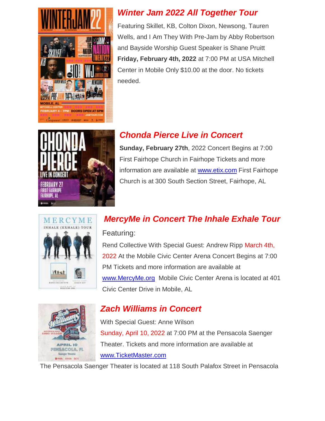



Featuring Skillet, KB, Colton Dixon, Newsong, Tauren Wells, and I Am They With Pre-Jam by Abby Robertson and Bayside Worship Guest Speaker is Shane Pruitt **Friday, February 4th, 2022** at 7:00 PM at USA Mitchell Center in Mobile Only \$10.00 at the door. No tickets needed.



## *Chonda Pierce Live in Concert*

**Sunday, February 27th**, 2022 Concert Begins at 7:00 First Fairhope Church in Fairhope Tickets and more information are available at [www.etix.com](http://www.etix.com/) First Fairhope Church is at 300 South Section Street, Fairhope, AL



# *MercyMe in Concert The Inhale Exhale Tour*

#### Featuring:

Rend Collective With Special Guest: Andrew Ripp March 4th, 2022 At the Mobile Civic Center Arena Concert Begins at 7:00 PM Tickets and more information are available at [www.MercyMe.org](http://www.mercyme.org/) Mobile Civic Center Arena is located at 401 Civic Center Drive in Mobile, AL



## *Zach Williams in Concert*

With Special Guest: Anne Wilson Sunday, April 10, 2022 at 7:00 PM at the Pensacola Saenger Theater. Tickets and more information are available at [www.TicketMaster.com](http://www.ticketmaster.com/)

The Pensacola Saenger Theater is located at 118 South Palafox Street in Pensacola